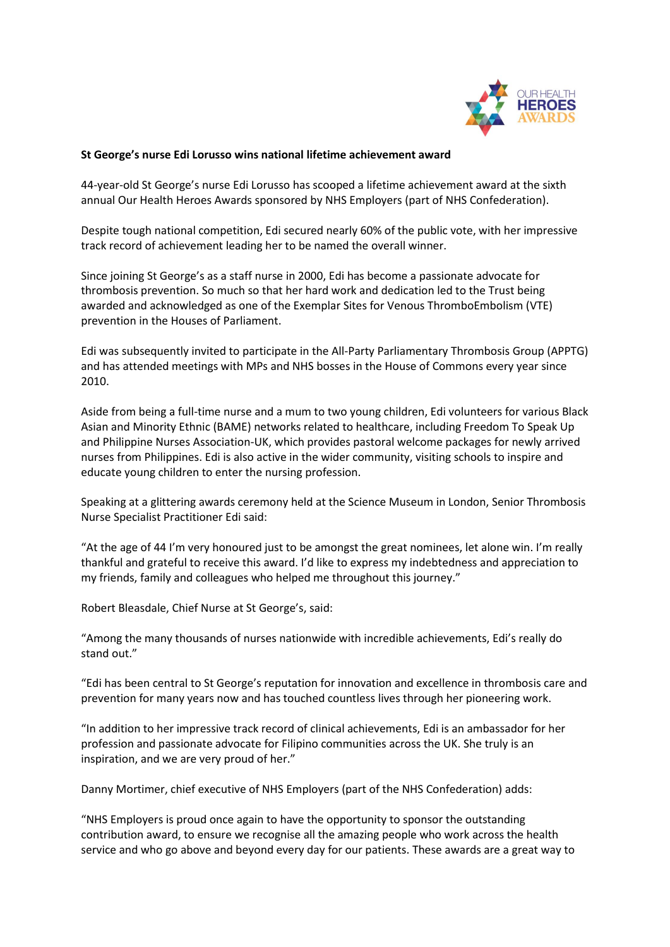

## **St George's nurse Edi Lorusso wins national lifetime achievement award**

44-year-old St George's nurse Edi Lorusso has scooped a lifetime achievement award at the sixth annual Our Health Heroes Awards sponsored by NHS Employers (part of NHS Confederation).

Despite tough national competition, Edi secured nearly 60% of the public vote, with her impressive track record of achievement leading her to be named the overall winner.

Since joining St George's as a staff nurse in 2000, Edi has become a passionate advocate for thrombosis prevention. So much so that her hard work and dedication led to the Trust being awarded and acknowledged as one of the Exemplar Sites for Venous ThromboEmbolism (VTE) prevention in the Houses of Parliament.

Edi was subsequently invited to participate in the All-Party Parliamentary Thrombosis Group (APPTG) and has attended meetings with MPs and NHS bosses in the House of Commons every year since 2010.

Aside from being a full-time nurse and a mum to two young children, Edi volunteers for various Black Asian and Minority Ethnic (BAME) networks related to healthcare, including Freedom To Speak Up and Philippine Nurses Association-UK, which provides pastoral welcome packages for newly arrived nurses from Philippines. Edi is also active in the wider community, visiting schools to inspire and educate young children to enter the nursing profession.

Speaking at a glittering awards ceremony held at the Science Museum in London, Senior Thrombosis Nurse Specialist Practitioner Edi said:

"At the age of 44 I'm very honoured just to be amongst the great nominees, let alone win. I'm really thankful and grateful to receive this award. I'd like to express my indebtedness and appreciation to my friends, family and colleagues who helped me throughout this journey."

Robert Bleasdale, Chief Nurse at St George's, said:

"Among the many thousands of nurses nationwide with incredible achievements, Edi's really do stand out."

"Edi has been central to St George's reputation for innovation and excellence in thrombosis care and prevention for many years now and has touched countless lives through her pioneering work.

"In addition to her impressive track record of clinical achievements, Edi is an ambassador for her profession and passionate advocate for Filipino communities across the UK. She truly is an inspiration, and we are very proud of her."

Danny Mortimer, chief executive of NHS Employers (part of the NHS Confederation) adds:

"NHS Employers is proud once again to have the opportunity to sponsor the outstanding contribution award, to ensure we recognise all the amazing people who work across the health service and who go above and beyond every day for our patients. These awards are a great way to